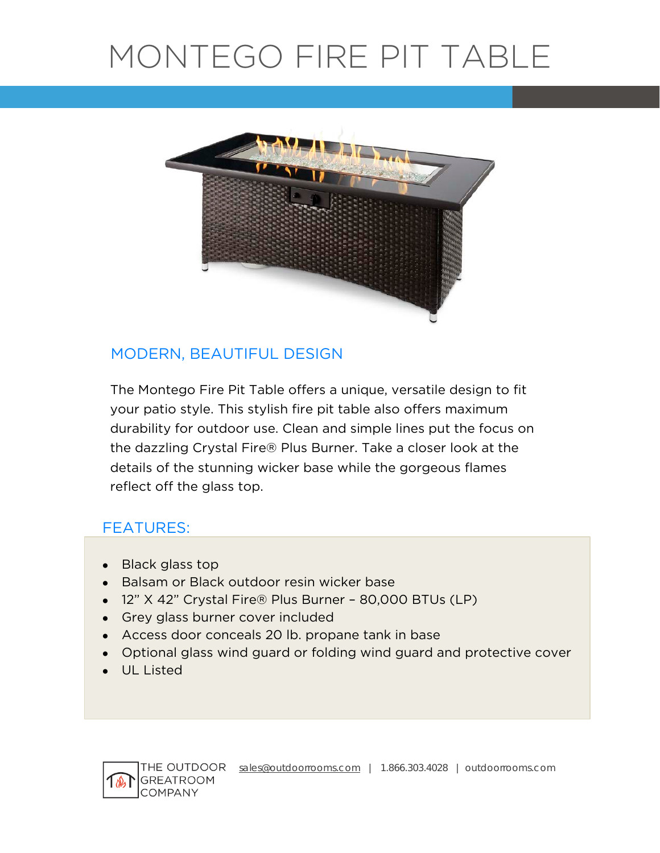# MONTEGO FIRE PIT TABLE



# MODERN, BEAUTIFUL DESIGN

 details of the stunning wicker base while the gorgeous flames The Montego Fire Pit Table offers a unique, versatile design to fit your patio style. This stylish fire pit table also offers maximum durability for outdoor use. Clean and simple lines put the focus on the dazzling Crystal Fire® Plus Burner. Take a closer look at the reflect off the glass top.

# FEATURES:

- Black glass top
- Balsam or Black outdoor resin wicker base
- 12" X 42" Crystal Fire® Plus Burner 80,000 BTUs (LP)
- Grey glass burner cover included
- Access door conceals 20 lb. propane tank in base
- Optional glass wind guard or folding wind guard and protective cover
- UL Listed